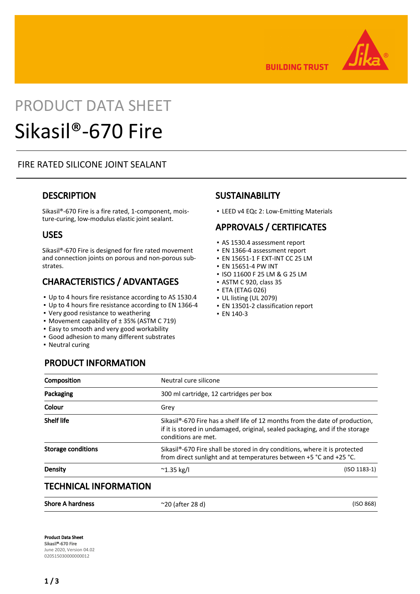

**BUILDING TRUST** 

# PRODUCT DATA SHEET Sikasil®-670 Fire

#### FIRE RATED SILICONE JOINT SEALANT

#### **DESCRIPTION**

Sikasil®-670 Fire is a fire rated, 1-component, moisture-curing, low-modulus elastic joint sealant.

#### USES

Sikasil®-670 Fire is designed for fire rated movement and connection joints on porous and non-porous substrates.

# CHARACTERISTICS / ADVANTAGES

- Up to 4 hours fire resistance according to AS 1530.4
- Up to 4 hours fire resistance according to EN 1366-4
- Very good resistance to weathering

PRODUCT INFORMATION

- Movement capability of ± 35% (ASTM C 719)
- **Easy to smooth and very good workability**
- Good adhesion to many different substrates
- Neutral curing

## **SUSTAINABILITY**

▪ LEED v4 EQc 2: Low-Emitting Materials

# APPROVALS / CERTIFICATES

- AS 1530.4 assessment report
- EN 1366-4 assessment report
- EN 15651-1 F EXT-INT CC 25 LM
- EN 15651-4 PW INT
- ISO 11600 F 25 LM & G 25 LM
- ASTM C 920, class 35
- ETA (ETAG 026)
- UL listing (UL 2079)
- EN 13501-2 classification report
- EN 140-3

| Neutral cure silicone                   |                                                                                                                                                                           |  |
|-----------------------------------------|---------------------------------------------------------------------------------------------------------------------------------------------------------------------------|--|
| 300 ml cartridge, 12 cartridges per box |                                                                                                                                                                           |  |
| Grey                                    |                                                                                                                                                                           |  |
| conditions are met.                     | Sikasil <sup>®</sup> -670 Fire has a shelf life of 12 months from the date of production,<br>if it is stored in undamaged, original, sealed packaging, and if the storage |  |
|                                         | Sikasil <sup>®</sup> -670 Fire shall be stored in dry conditions, where it is protected<br>from direct sunlight and at temperatures between +5 °C and +25 °C.             |  |
| $^{\sim}$ 1.35 kg/l                     | $(ISO 1183-1)$                                                                                                                                                            |  |
|                                         |                                                                                                                                                                           |  |

#### TECHNICAL INFORMATION

| <b>Shore A hardness</b> | $\approx$ 20 (after 28 d) | (ISO 868) |
|-------------------------|---------------------------|-----------|
|-------------------------|---------------------------|-----------|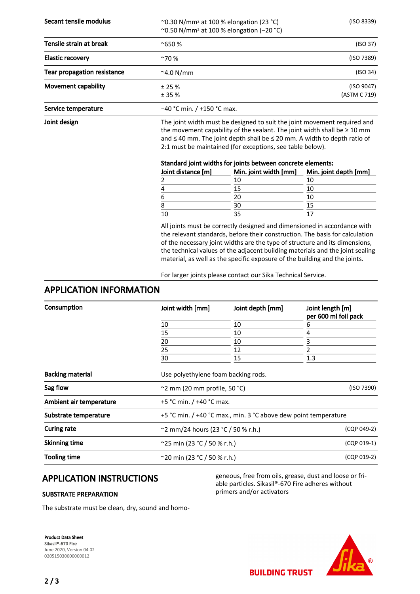Secant tensile modulus  $\sim$  0.30 N/mm<sup>2</sup> at 100 % elongation (23 °C) (ISO 8339) ~0.50 N/mm2 at 100 % elongation (−20 °C)

| Tensile strain at break            | $^{\sim}650%$                | (ISO 37)                   |
|------------------------------------|------------------------------|----------------------------|
| <b>Elastic recovery</b>            | $^{\sim}70%$                 | (ISO 7389)                 |
| <b>Tear propagation resistance</b> | $^{\sim}$ 4.0 N/mm           | (ISO 34)                   |
| <b>Movement capability</b>         | ± 25%<br>± 35%               | (ISO 9047)<br>(ASTM C 719) |
| Service temperature                | $-40$ °C min. / +150 °C max. |                            |

Joint design The joint width must be designed to suit the joint movement required and the movement capability of the sealant. The joint width shall be  $\geq 10$  mm and ≤ 40 mm. The joint depth shall be ≤ 20 mm. A width to depth ratio of 2:1 must be maintained (for exceptions, see table below).

#### Standard joint widths for joints between concrete elements:

| Joint distance [m] | Min. joint width [mm] | Min. joint depth [mm] |
|--------------------|-----------------------|-----------------------|
|                    | 10                    |                       |
| 4                  |                       |                       |
| 6                  |                       |                       |
| 8                  |                       |                       |
| 10                 |                       |                       |

All joints must be correctly designed and dimensioned in accordance with the relevant standards, before their construction. The basis for calculation of the necessary joint widths are the type of structure and its dimensions, the technical values of the adjacent building materials and the joint sealing material, as well as the specific exposure of the building and the joints.

For larger joints please contact our Sika Technical Service.

#### APPLICATION INFORMATION

| Consumption             | Joint width [mm]                                                | Joint depth [mm]                    | Joint length [m]<br>per 600 ml foil pack |  |  |
|-------------------------|-----------------------------------------------------------------|-------------------------------------|------------------------------------------|--|--|
|                         | 10                                                              | 10                                  | 6                                        |  |  |
|                         | 15                                                              | 10                                  | 4                                        |  |  |
|                         | 20                                                              | 10                                  | 3                                        |  |  |
|                         | 25                                                              | 12                                  |                                          |  |  |
|                         | 30                                                              | 15                                  | 1.3                                      |  |  |
| <b>Backing material</b> |                                                                 | Use polyethylene foam backing rods. |                                          |  |  |
| Sag flow                | $\sim$ 2 mm (20 mm profile, 50 °C)                              |                                     | (ISO 7390)                               |  |  |
| Ambient air temperature | +5 °C min. $/$ +40 °C max.                                      |                                     |                                          |  |  |
| Substrate temperature   | +5 °C min. / +40 °C max., min. 3 °C above dew point temperature |                                     |                                          |  |  |
| <b>Curing rate</b>      | ~2 mm/24 hours (23 °C / 50 % r.h.)<br>(CQP 049-2)               |                                     |                                          |  |  |
| <b>Skinning time</b>    | ~25 min (23 °C / 50 % r.h.)                                     | $(CQP 019-1)$                       |                                          |  |  |
| <b>Tooling time</b>     | $^{\sim}$ 20 min (23 °C / 50 % r.h.)                            |                                     |                                          |  |  |

## APPLICATION INSTRUCTIONS

#### SUBSTRATE PREPARATION

geneous, free from oils, grease, dust and loose or friable particles. Sikasil®-670 Fire adheres without primers and/or activators

The substrate must be clean, dry, sound and homo-

Product Data Sheet Sikasil®-670 Fire June 2020, Version 04.02 020515030000000012